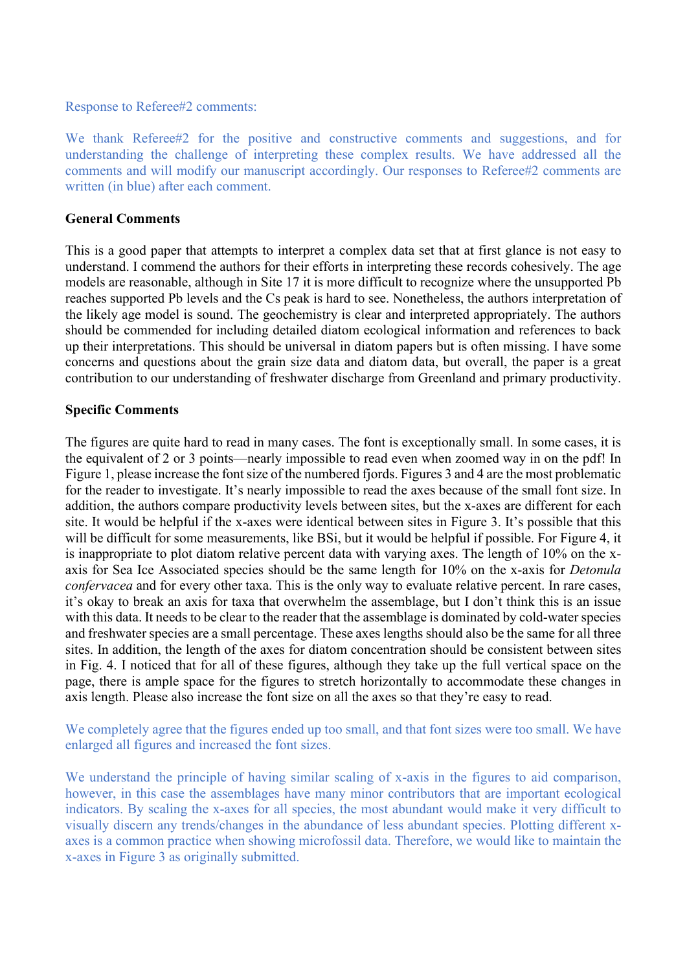Response to Referee#2 comments:

We thank Referee#2 for the positive and constructive comments and suggestions, and for understanding the challenge of interpreting these complex results. We have addressed all the comments and will modify our manuscript accordingly. Our responses to Referee#2 comments are written (in blue) after each comment.

## **General Comments**

This is a good paper that attempts to interpret a complex data set that at first glance is not easy to understand. I commend the authors for their efforts in interpreting these records cohesively. The age models are reasonable, although in Site 17 it is more difficult to recognize where the unsupported Pb reaches supported Pb levels and the Cs peak is hard to see. Nonetheless, the authors interpretation of the likely age model is sound. The geochemistry is clear and interpreted appropriately. The authors should be commended for including detailed diatom ecological information and references to back up their interpretations. This should be universal in diatom papers but is often missing. I have some concerns and questions about the grain size data and diatom data, but overall, the paper is a great contribution to our understanding of freshwater discharge from Greenland and primary productivity.

## **Specific Comments**

The figures are quite hard to read in many cases. The font is exceptionally small. In some cases, it is the equivalent of 2 or 3 points—nearly impossible to read even when zoomed way in on the pdf! In Figure 1, please increase the font size of the numbered fjords. Figures 3 and 4 are the most problematic for the reader to investigate. It's nearly impossible to read the axes because of the small font size. In addition, the authors compare productivity levels between sites, but the x-axes are different for each site. It would be helpful if the x-axes were identical between sites in Figure 3. It's possible that this will be difficult for some measurements, like BSi, but it would be helpful if possible. For Figure 4, it is inappropriate to plot diatom relative percent data with varying axes. The length of 10% on the xaxis for Sea Ice Associated species should be the same length for 10% on the x-axis for *Detonula confervacea* and for every other taxa. This is the only way to evaluate relative percent. In rare cases, it's okay to break an axis for taxa that overwhelm the assemblage, but I don't think this is an issue with this data. It needs to be clear to the reader that the assemblage is dominated by cold-water species and freshwater species are a small percentage. These axes lengths should also be the same for all three sites. In addition, the length of the axes for diatom concentration should be consistent between sites in Fig. 4. I noticed that for all of these figures, although they take up the full vertical space on the page, there is ample space for the figures to stretch horizontally to accommodate these changes in axis length. Please also increase the font size on all the axes so that they're easy to read.

We completely agree that the figures ended up too small, and that font sizes were too small. We have enlarged all figures and increased the font sizes.

We understand the principle of having similar scaling of x-axis in the figures to aid comparison, however, in this case the assemblages have many minor contributors that are important ecological indicators. By scaling the x-axes for all species, the most abundant would make it very difficult to visually discern any trends/changes in the abundance of less abundant species. Plotting different xaxes is a common practice when showing microfossil data. Therefore, we would like to maintain the x-axes in Figure 3 as originally submitted.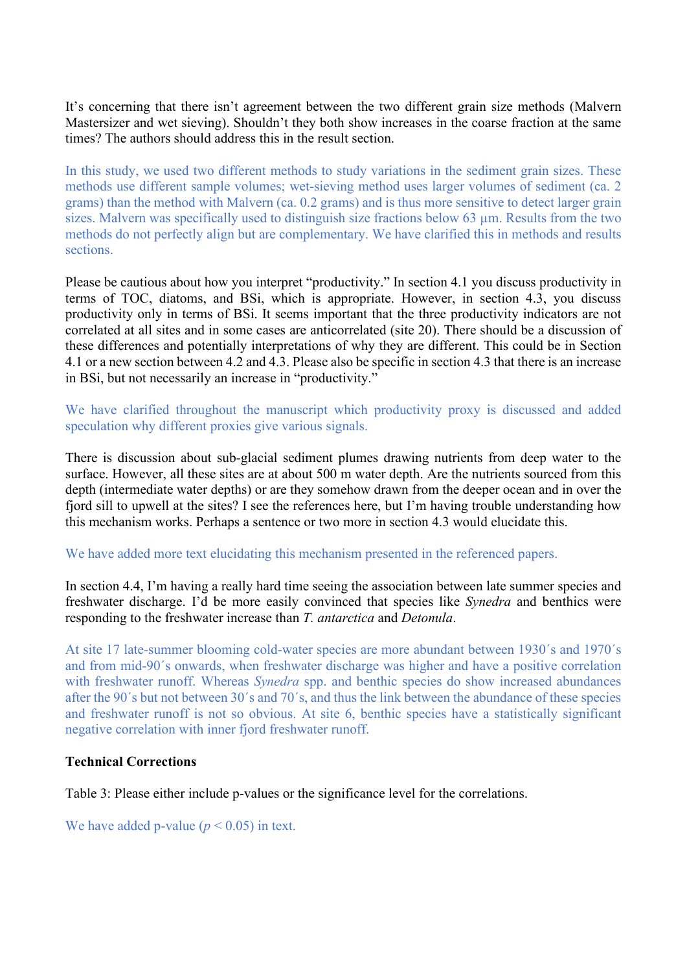It's concerning that there isn't agreement between the two different grain size methods (Malvern Mastersizer and wet sieving). Shouldn't they both show increases in the coarse fraction at the same times? The authors should address this in the result section.

In this study, we used two different methods to study variations in the sediment grain sizes. These methods use different sample volumes; wet-sieving method uses larger volumes of sediment (ca. 2 grams) than the method with Malvern (ca. 0.2 grams) and is thus more sensitive to detect larger grain sizes. Malvern was specifically used to distinguish size fractions below 63  $\mu$ m. Results from the two methods do not perfectly align but are complementary. We have clarified this in methods and results sections.

Please be cautious about how you interpret "productivity." In section 4.1 you discuss productivity in terms of TOC, diatoms, and BSi, which is appropriate. However, in section 4.3, you discuss productivity only in terms of BSi. It seems important that the three productivity indicators are not correlated at all sites and in some cases are anticorrelated (site 20). There should be a discussion of these differences and potentially interpretations of why they are different. This could be in Section 4.1 or a new section between 4.2 and 4.3. Please also be specific in section 4.3 that there is an increase in BSi, but not necessarily an increase in "productivity."

We have clarified throughout the manuscript which productivity proxy is discussed and added speculation why different proxies give various signals.

There is discussion about sub-glacial sediment plumes drawing nutrients from deep water to the surface. However, all these sites are at about 500 m water depth. Are the nutrients sourced from this depth (intermediate water depths) or are they somehow drawn from the deeper ocean and in over the fjord sill to upwell at the sites? I see the references here, but I'm having trouble understanding how this mechanism works. Perhaps a sentence or two more in section 4.3 would elucidate this.

We have added more text elucidating this mechanism presented in the referenced papers.

In section 4.4, I'm having a really hard time seeing the association between late summer species and freshwater discharge. I'd be more easily convinced that species like *Synedra* and benthics were responding to the freshwater increase than *T. antarctica* and *Detonula*.

At site 17 late-summer blooming cold-water species are more abundant between 1930´s and 1970´s and from mid-90´s onwards, when freshwater discharge was higher and have a positive correlation with freshwater runoff. Whereas *Synedra* spp. and benthic species do show increased abundances after the 90´s but not between 30´s and 70´s, and thus the link between the abundance of these species and freshwater runoff is not so obvious. At site 6, benthic species have a statistically significant negative correlation with inner fjord freshwater runoff.

## **Technical Corrections**

Table 3: Please either include p-values or the significance level for the correlations.

We have added p-value  $(p < 0.05)$  in text.